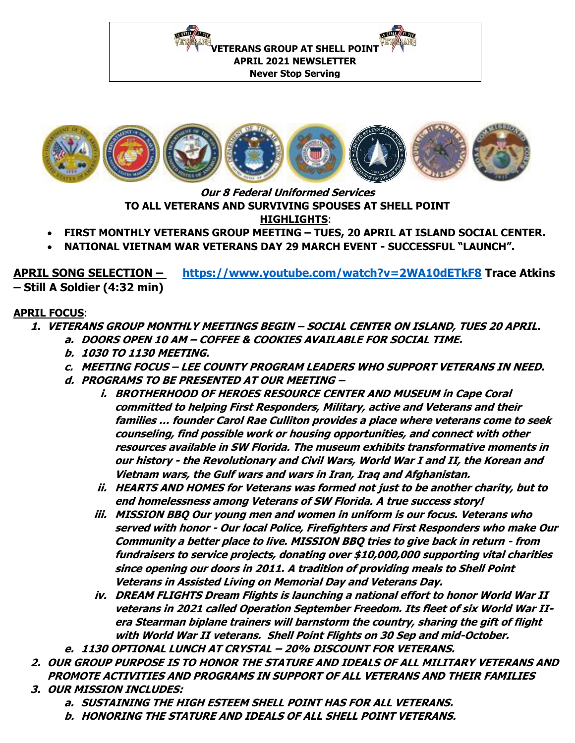**VETERANS GROUP AT SHELL POINT APRIL 2021 NEWSLETTER**

**THERE** A FILE

**Never Stop Serving** 



**Our 8 Federal Uniformed Services TO ALL VETERANS AND SURVIVING SPOUSES AT SHELL POINT HIGHLIGHTS**:

- **FIRST MONTHLY VETERANS GROUP MEETING – TUES, 20 APRIL AT ISLAND SOCIAL CENTER.**
- **NATIONAL VIETNAM WAR VETERANS DAY 29 MARCH EVENT - SUCCESSFUL "LAUNCH".**

**APRIL SONG SELECTION – <https://www.youtube.com/watch?v=2WA10dETkF8> Trace Atkins – Still A Soldier (4:32 min)** 

## **APRIL FOCUS**:

- **1. VETERANS GROUP MONTHLY MEETINGS BEGIN – SOCIAL CENTER ON ISLAND, TUES 20 APRIL.**
	- **a. DOORS OPEN 10 AM – COFFEE & COOKIES AVAILABLE FOR SOCIAL TIME.**
	- **b. 1030 TO 1130 MEETING.**
	- **c. MEETING FOCUS – LEE COUNTY PROGRAM LEADERS WHO SUPPORT VETERANS IN NEED.**
	- **d. PROGRAMS TO BE PRESENTED AT OUR MEETING –**

**THE WARD STATE** 

- **i. BROTHERHOOD OF HEROES RESOURCE CENTER AND MUSEUM in Cape Coral committed to helping First Responders, Military, active and Veterans and their families … founder Carol Rae Culliton provides a place where veterans come to seek counseling, find possible work or housing opportunities, and connect with other resources available in SW Florida. The museum exhibits transformative moments in our history - the Revolutionary and Civil Wars, World War I and II, the Korean and Vietnam wars, the Gulf wars and wars in Iran, Iraq and Afghanistan.**
- **ii. HEARTS AND HOMES for Veterans was formed not just to be another charity, but to end homelessness among Veterans of SW Florida. A true success story!**
- **iii. MISSION BBQ Our young men and women in uniform is our focus. Veterans who served with honor - Our local Police, Firefighters and First Responders who make Our Community a better place to live. MISSION BBQ tries to give back in return - from fundraisers to service projects, donating over \$10,000,000 supporting vital charities since opening our doors in 2011. A tradition of providing meals to Shell Point Veterans in Assisted Living on Memorial Day and Veterans Day.**
- **iv. DREAM FLIGHTS Dream Flights is launching a national effort to honor World War II veterans in 2021 called Operation September Freedom. Its fleet of six World War IIera Stearman biplane trainers will barnstorm the country, sharing the gift of flight with World War II veterans. Shell Point Flights on 30 Sep and mid-October.**
- **e. 1130 OPTIONAL LUNCH AT CRYSTAL – 20% DISCOUNT FOR VETERANS.**
- **2. OUR GROUP PURPOSE IS TO HONOR THE STATURE AND IDEALS OF ALL MILITARY VETERANS AND PROMOTE ACTIVITIES AND PROGRAMS IN SUPPORT OF ALL VETERANS AND THEIR FAMILIES**
- **3. OUR MISSION INCLUDES:** 
	- **a. SUSTAINING THE HIGH ESTEEM SHELL POINT HAS FOR ALL VETERANS.**
	- **b. HONORING THE STATURE AND IDEALS OF ALL SHELL POINT VETERANS.**